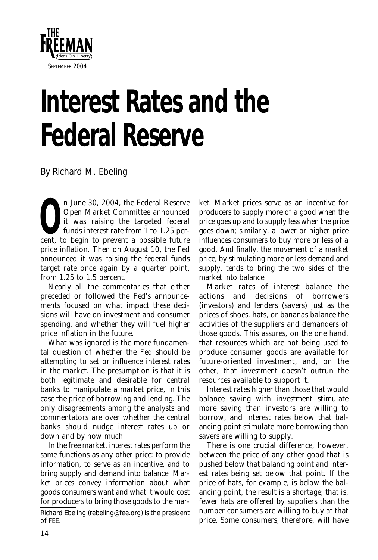

## **Interest Rates and the Federal Reserve**

*By Richard M. Ebeling*

**O**n June 30, 2004, the Federal Reserve<br>
Open Market Committee announced<br>
it was raising the targeted federal<br>
funds interest rate from 1 to 1.25 per-Open Market Committee announced it was raising the targeted federal funds interest rate from 1 to 1.25 percent, to begin to prevent a possible future price inflation. Then on August 10, the Fed announced it was raising the federal funds target rate once again by a quarter point, from 1.25 to 1.5 percent.

Nearly all the commentaries that either preceded or followed the Fed's announcements focused on what impact these decisions will have on investment and consumer spending, and whether they will fuel higher price inflation in the future.

What was ignored is the more fundamental question of whether the Fed should be attempting to set or influence interest rates in the market. The presumption is that it is both legitimate and desirable for central banks to manipulate a market price, in this case the price of borrowing and lending. The only disagreements among the analysts and commentators are over whether the central banks should nudge interest rates up or down and by how much.

In the free market, interest rates perform the same functions as any other price: to provide information, to serve as an incentive, and to bring supply and demand into balance. Market prices convey information about what goods consumers want and what it would cost for producers to bring those goods to the mar-

*Richard Ebeling (rebeling@fee.org) is the president of FEE.* 

ket. Market prices serve as an incentive for producers to supply more of a good when the price goes up and to supply less when the price goes down; similarly, a lower or higher price influences consumers to buy more or less of a good. And finally, the movement of a market price, by stimulating more or less demand and supply, tends to bring the two sides of the market into balance.

Market rates of interest balance the actions and decisions of borrowers (investors) and lenders (savers) just as the prices of shoes, hats, or bananas balance the activities of the suppliers and demanders of *those* goods. This assures, on the one hand, that resources which are not being used to produce consumer goods are available for future-oriented investment, and, on the other, that investment doesn't outrun the resources available to support it.

Interest rates higher than those that would balance saving with investment stimulate more saving than investors are willing to borrow, and interest rates below that balancing point stimulate more borrowing than savers are willing to supply.

There is one crucial difference, however, between the price of any other good that is pushed below that balancing point and interest rates being set below that point. If the price of hats, for example, is below the balancing point, the result is a shortage; that is, fewer hats are offered by suppliers than the number consumers are willing to buy at that price. Some consumers, therefore, will have